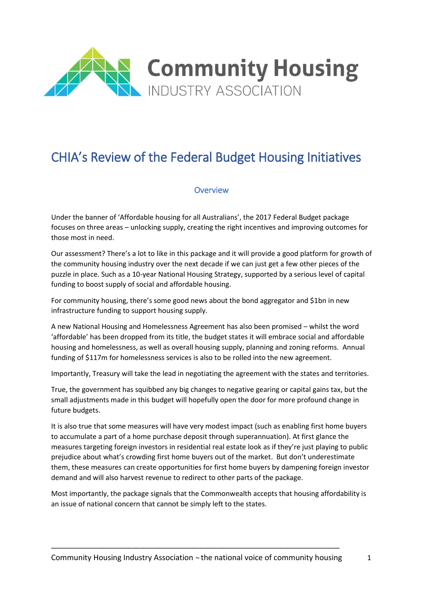

# CHIA's Review of the Federal Budget Housing Initiatives

#### **Overview**

Under the banner of 'Affordable housing for all Australians', the 2017 Federal Budget package focuses on three areas – unlocking supply, creating the right incentives and improving outcomes for those most in need.

Our assessment? There's a lot to like in this package and it will provide a good platform for growth of the community housing industry over the next decade if we can just get a few other pieces of the puzzle in place. Such as a 10-year National Housing Strategy, supported by a serious level of capital funding to boost supply of social and affordable housing.

For community housing, there's some good news about the bond aggregator and \$1bn in new infrastructure funding to support housing supply.

A new National Housing and Homelessness Agreement has also been promised – whilst the word 'affordable' has been dropped from its title, the budget states it will embrace social and affordable housing and homelessness, as well as overall housing supply, planning and zoning reforms. Annual funding of \$117m for homelessness services is also to be rolled into the new agreement.

Importantly, Treasury will take the lead in negotiating the agreement with the states and territories.

True, the government has squibbed any big changes to negative gearing or capital gains tax, but the small adjustments made in this budget will hopefully open the door for more profound change in future budgets.

It is also true that some measures will have very modest impact (such as enabling first home buyers to accumulate a part of a home purchase deposit through superannuation). At first glance the measures targeting foreign investors in residential real estate look as if they're just playing to public prejudice about what's crowding first home buyers out of the market. But don't underestimate them, these measures can create opportunities for first home buyers by dampening foreign investor demand and will also harvest revenue to redirect to other parts of the package.

Most importantly, the package signals that the Commonwealth accepts that housing affordability is an issue of national concern that cannot be simply left to the states.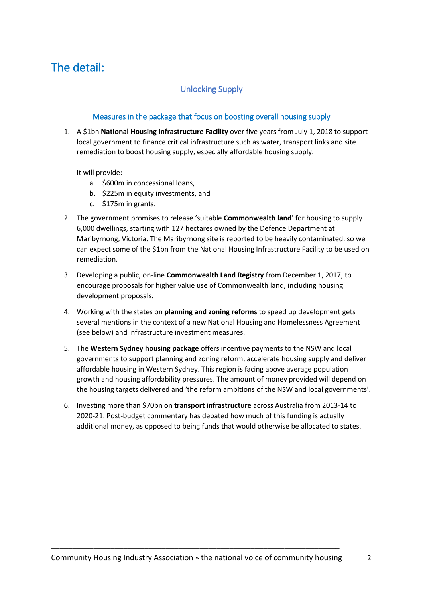## The detail:

### Unlocking Supply

#### Measures in the package that focus on boosting overall housing supply

1. A \$1bn **National Housing Infrastructure Facility** over five years from July 1, 2018 to support local government to finance critical infrastructure such as water, transport links and site remediation to boost housing supply, especially affordable housing supply.

It will provide:

- a. \$600m in concessional loans,
- b. \$225m in equity investments, and
- c. \$175m in grants.
- 2. The government promises to release 'suitable **Commonwealth land**' for housing to supply 6,000 dwellings, starting with 127 hectares owned by the Defence Department at Maribyrnong, Victoria. The Maribyrnong site is reported to be heavily contaminated, so we can expect some of the \$1bn from the National Housing Infrastructure Facility to be used on remediation.
- 3. Developing a public, on-line **Commonwealth Land Registry** from December 1, 2017, to encourage proposals for higher value use of Commonwealth land, including housing development proposals.
- 4. Working with the states on **planning and zoning reforms** to speed up development gets several mentions in the context of a new National Housing and Homelessness Agreement (see below) and infrastructure investment measures.
- 5. The **Western Sydney housing package** offers incentive payments to the NSW and local governments to support planning and zoning reform, accelerate housing supply and deliver affordable housing in Western Sydney. This region is facing above average population growth and housing affordability pressures. The amount of money provided will depend on the housing targets delivered and 'the reform ambitions of the NSW and local governments'.
- 6. Investing more than \$70bn on **transport infrastructure** across Australia from 2013-14 to 2020-21. Post-budget commentary has debated how much of this funding is actually additional money, as opposed to being funds that would otherwise be allocated to states.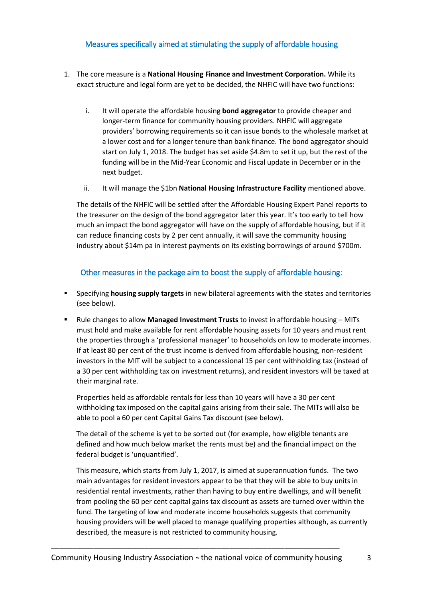#### Measures specifically aimed at stimulating the supply of affordable housing

- 1. The core measure is a **National Housing Finance and Investment Corporation.** While its exact structure and legal form are yet to be decided, the NHFIC will have two functions:
	- i. It will operate the affordable housing **bond aggregator** to provide cheaper and longer-term finance for community housing providers. NHFIC will aggregate providers' borrowing requirements so it can issue bonds to the wholesale market at a lower cost and for a longer tenure than bank finance. The bond aggregator should start on July 1, 2018. The budget has set aside \$4.8m to set it up, but the rest of the funding will be in the Mid-Year Economic and Fiscal update in December or in the next budget.
	- ii. It will manage the \$1bn **National Housing Infrastructure Facility** mentioned above.

The details of the NHFIC will be settled after the Affordable Housing Expert Panel reports to the treasurer on the design of the bond aggregator later this year. It's too early to tell how much an impact the bond aggregator will have on the supply of affordable housing, but if it can reduce financing costs by 2 per cent annually, it will save the community housing industry about \$14m pa in interest payments on its existing borrowings of around \$700m.

#### Other measures in the package aim to boost the supply of affordable housing:

- Specifying **housing supply targets** in new bilateral agreements with the states and territories (see below).
- Rule changes to allow **Managed Investment Trusts** to invest in affordable housing MITs must hold and make available for rent affordable housing assets for 10 years and must rent the properties through a 'professional manager' to households on low to moderate incomes. If at least 80 per cent of the trust income is derived from affordable housing, non-resident investors in the MIT will be subject to a concessional 15 per cent withholding tax (instead of a 30 per cent withholding tax on investment returns), and resident investors will be taxed at their marginal rate.

Properties held as affordable rentals for less than 10 years will have a 30 per cent withholding tax imposed on the capital gains arising from their sale. The MITs will also be able to pool a 60 per cent Capital Gains Tax discount (see below).

The detail of the scheme is yet to be sorted out (for example, how eligible tenants are defined and how much below market the rents must be) and the financial impact on the federal budget is 'unquantified'.

This measure, which starts from July 1, 2017, is aimed at superannuation funds. The two main advantages for resident investors appear to be that they will be able to buy units in residential rental investments, rather than having to buy entire dwellings, and will benefit from pooling the 60 per cent capital gains tax discount as assets are turned over within the fund. The targeting of low and moderate income households suggests that community housing providers will be well placed to manage qualifying properties although, as currently described, the measure is not restricted to community housing.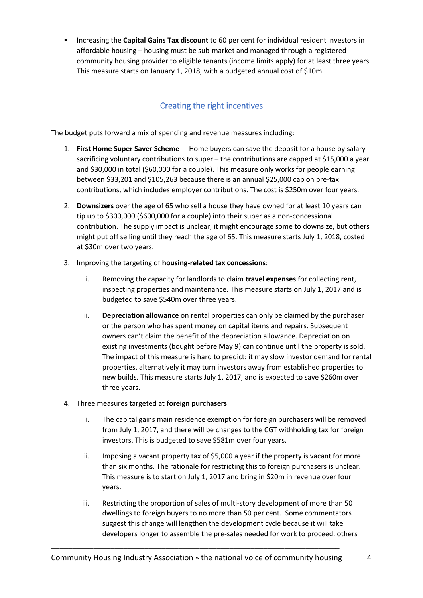▪ Increasing the **Capital Gains Tax discount** to 60 per cent for individual resident investors in affordable housing – housing must be sub-market and managed through a registered community housing provider to eligible tenants (income limits apply) for at least three years. This measure starts on January 1, 2018, with a budgeted annual cost of \$10m.

### Creating the right incentives

The budget puts forward a mix of spending and revenue measures including:

- 1. **First Home Super Saver Scheme** Home buyers can save the deposit for a house by salary sacrificing voluntary contributions to super – the contributions are capped at \$15,000 a year and \$30,000 in total (\$60,000 for a couple). This measure only works for people earning between \$33,201 and \$105,263 because there is an annual \$25,000 cap on pre-tax contributions, which includes employer contributions. The cost is \$250m over four years.
- 2. **Downsizers** over the age of 65 who sell a house they have owned for at least 10 years can tip up to \$300,000 (\$600,000 for a couple) into their super as a non-concessional contribution. The supply impact is unclear; it might encourage some to downsize, but others might put off selling until they reach the age of 65. This measure starts July 1, 2018, costed at \$30m over two years.
- 3. Improving the targeting of **housing-related tax concessions**:
	- i. Removing the capacity for landlords to claim **travel expenses** for collecting rent, inspecting properties and maintenance. This measure starts on July 1, 2017 and is budgeted to save \$540m over three years.
	- ii. **Depreciation allowance** on rental properties can only be claimed by the purchaser or the person who has spent money on capital items and repairs. Subsequent owners can't claim the benefit of the depreciation allowance. Depreciation on existing investments (bought before May 9) can continue until the property is sold. The impact of this measure is hard to predict: it may slow investor demand for rental properties, alternatively it may turn investors away from established properties to new builds. This measure starts July 1, 2017, and is expected to save \$260m over three years.
- 4. Three measures targeted at **foreign purchasers**
	- i. The capital gains main residence exemption for foreign purchasers will be removed from July 1, 2017, and there will be changes to the CGT withholding tax for foreign investors. This is budgeted to save \$581m over four years.
	- ii. Imposing a vacant property tax of \$5,000 a year if the property is vacant for more than six months. The rationale for restricting this to foreign purchasers is unclear. This measure is to start on July 1, 2017 and bring in \$20m in revenue over four years.
	- iii. Restricting the proportion of sales of multi-story development of more than 50 dwellings to foreign buyers to no more than 50 per cent. Some commentators suggest this change will lengthen the development cycle because it will take developers longer to assemble the pre-sales needed for work to proceed, others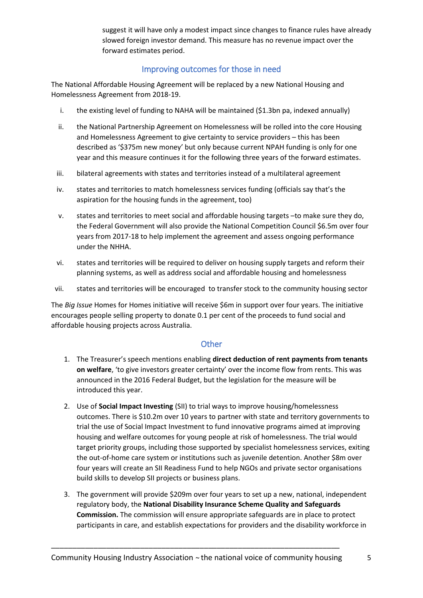suggest it will have only a modest impact since changes to finance rules have already slowed foreign investor demand. This measure has no revenue impact over the forward estimates period.

#### Improving outcomes for those in need

The National Affordable Housing Agreement will be replaced by a new National Housing and Homelessness Agreement from 2018-19.

- i. the existing level of funding to NAHA will be maintained (\$1.3bn pa, indexed annually)
- ii. the National Partnership Agreement on Homelessness will be rolled into the core Housing and Homelessness Agreement to give certainty to service providers – this has been described as '\$375m new money' but only because current NPAH funding is only for one year and this measure continues it for the following three years of the forward estimates.
- iii. bilateral agreements with states and territories instead of a multilateral agreement
- iv. states and territories to match homelessness services funding (officials say that's the aspiration for the housing funds in the agreement, too)
- v. states and territories to meet social and affordable housing targets –to make sure they do, the Federal Government will also provide the National Competition Council \$6.5m over four years from 2017-18 to help implement the agreement and assess ongoing performance under the NHHA.
- vi. states and territories will be required to deliver on housing supply targets and reform their planning systems, as well as address social and affordable housing and homelessness
- vii. states and territories will be encouraged to transfer stock to the community housing sector

The *Big Issue* Homes for Homes initiative will receive \$6m in support over four years. The initiative encourages people selling property to donate 0.1 per cent of the proceeds to fund social and affordable housing projects across Australia.

#### **Other**

- 1. The Treasurer's speech mentions enabling **direct deduction of rent payments from tenants on welfare**, 'to give investors greater certainty' over the income flow from rents. This was announced in the 2016 Federal Budget, but the legislation for the measure will be introduced this year.
- 2. Use of **Social Impact Investing** (SII) to trial ways to improve housing/homelessness outcomes. There is \$10.2m over 10 years to partner with state and territory governments to trial the use of Social Impact Investment to fund innovative programs aimed at improving housing and welfare outcomes for young people at risk of homelessness. The trial would target priority groups, including those supported by specialist homelessness services, exiting the out-of-home care system or institutions such as juvenile detention. Another \$8m over four years will create an SII Readiness Fund to help NGOs and private sector organisations build skills to develop SII projects or business plans.
- 3. The government will provide \$209m over four years to set up a new, national, independent regulatory body, the **National Disability Insurance Scheme Quality and Safeguards Commission.** The commission will ensure appropriate safeguards are in place to protect participants in care, and establish expectations for providers and the disability workforce in